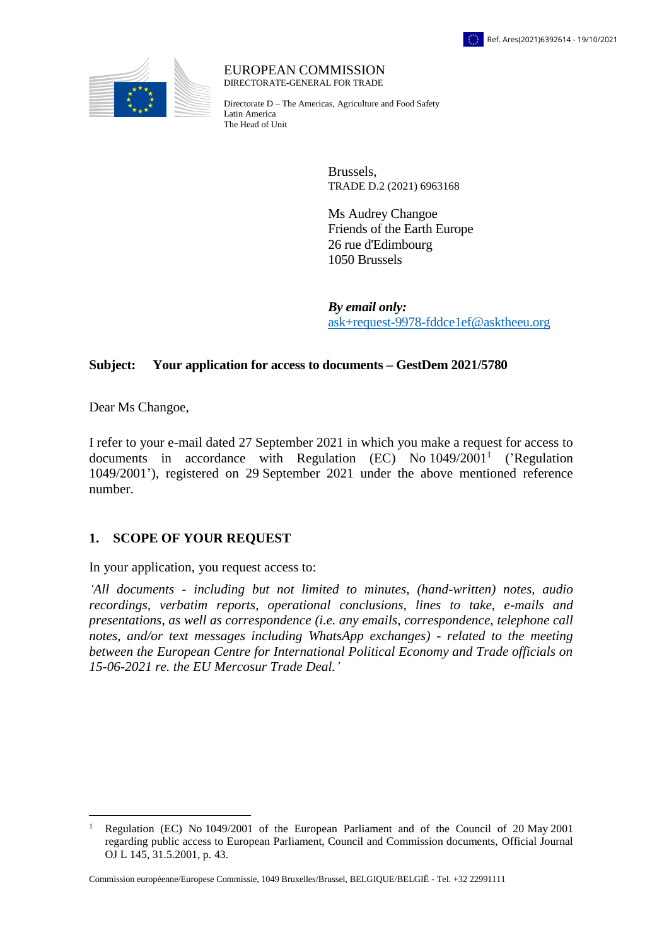



EUROPEAN COMMISSION DIRECTORATE-GENERAL FOR TRADE

Directorate D – The Americas, Agriculture and Food Safety Latin America The Head of Unit

> Brussels, TRADE D.2 (2021) 6963168

Ms Audrey Changoe Friends of the Earth Europe 26 rue d'Edimbourg 1050 Brussels

*By email only:* [ask+request-9978-fddce1ef@asktheeu.org](mailto:xxxxxxxxxxxxxxxxxxxxxxxxx@xxxxxxxx.xxx)

## **Subject: Your application for access to documents – GestDem 2021/5780**

Dear Ms Changoe,

 $\overline{a}$ 

I refer to your e-mail dated 27 September 2021 in which you make a request for access to documents in accordance with Regulation  $(EC)$  No  $1049/2001<sup>1</sup>$  ('Regulation 1049/2001'), registered on 29 September 2021 under the above mentioned reference number.

## **1. SCOPE OF YOUR REQUEST**

In your application, you request access to:

*'All documents - including but not limited to minutes, (hand-written) notes, audio recordings, verbatim reports, operational conclusions, lines to take, e-mails and presentations, as well as correspondence (i.e. any emails, correspondence, telephone call notes, and/or text messages including WhatsApp exchanges) - related to the meeting between the European Centre for International Political Economy and Trade officials on 15-06-2021 re. the EU Mercosur Trade Deal.'*

<sup>1</sup> Regulation (EC) No 1049/2001 of the European Parliament and of the Council of 20 May 2001 regarding public access to European Parliament, Council and Commission documents, Official Journal OJ L 145, 31.5.2001, p. 43.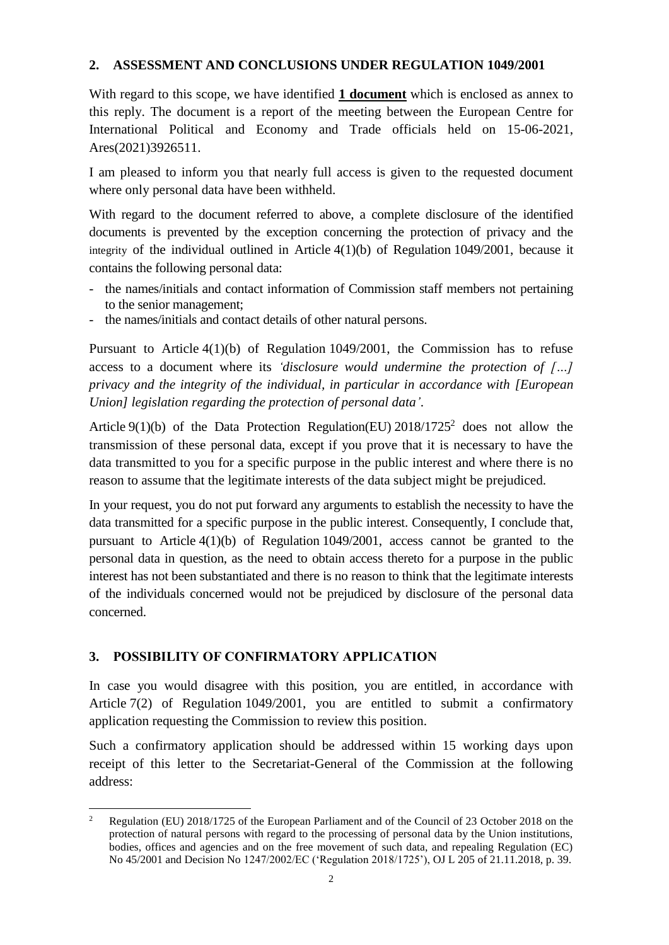## **2. ASSESSMENT AND CONCLUSIONS UNDER REGULATION 1049/2001**

With regard to this scope, we have identified **1 document** which is enclosed as annex to this reply. The document is a report of the meeting between the European Centre for International Political and Economy and Trade officials held on 15-06-2021, Ares(2021)3926511.

I am pleased to inform you that nearly full access is given to the requested document where only personal data have been withheld.

With regard to the document referred to above, a complete disclosure of the identified documents is prevented by the exception concerning the protection of privacy and the integrity of the individual outlined in Article 4(1)(b) of Regulation 1049/2001, because it contains the following personal data:

- the names/initials and contact information of Commission staff members not pertaining to the senior management;
- the names/initials and contact details of other natural persons.

Pursuant to Article 4(1)(b) of Regulation 1049/2001, the Commission has to refuse access to a document where its *'disclosure would undermine the protection of […] privacy and the integrity of the individual, in particular in accordance with [European Union] legislation regarding the protection of personal data'*.

Article  $9(1)(b)$  of the Data Protection Regulation(EU) 2018/1725<sup>2</sup> does not allow the transmission of these personal data, except if you prove that it is necessary to have the data transmitted to you for a specific purpose in the public interest and where there is no reason to assume that the legitimate interests of the data subject might be prejudiced.

In your request, you do not put forward any arguments to establish the necessity to have the data transmitted for a specific purpose in the public interest. Consequently, I conclude that, pursuant to Article 4(1)(b) of Regulation 1049/2001, access cannot be granted to the personal data in question, as the need to obtain access thereto for a purpose in the public interest has not been substantiated and there is no reason to think that the legitimate interests of the individuals concerned would not be prejudiced by disclosure of the personal data concerned.

## **3. POSSIBILITY OF CONFIRMATORY APPLICATION**

In case you would disagree with this position, you are entitled, in accordance with Article 7(2) of Regulation 1049/2001, you are entitled to submit a confirmatory application requesting the Commission to review this position.

Such a confirmatory application should be addressed within 15 working days upon receipt of this letter to the Secretariat-General of the Commission at the following address:

 $\overline{a}$ <sup>2</sup> Regulation (EU) 2018/1725 of the European Parliament and of the Council of 23 October 2018 on the protection of natural persons with regard to the processing of personal data by the Union institutions, bodies, offices and agencies and on the free movement of such data, and repealing Regulation (EC) No 45/2001 and Decision No 1247/2002/EC ('Regulation 2018/1725'), OJ L 205 of 21.11.2018, p. 39.